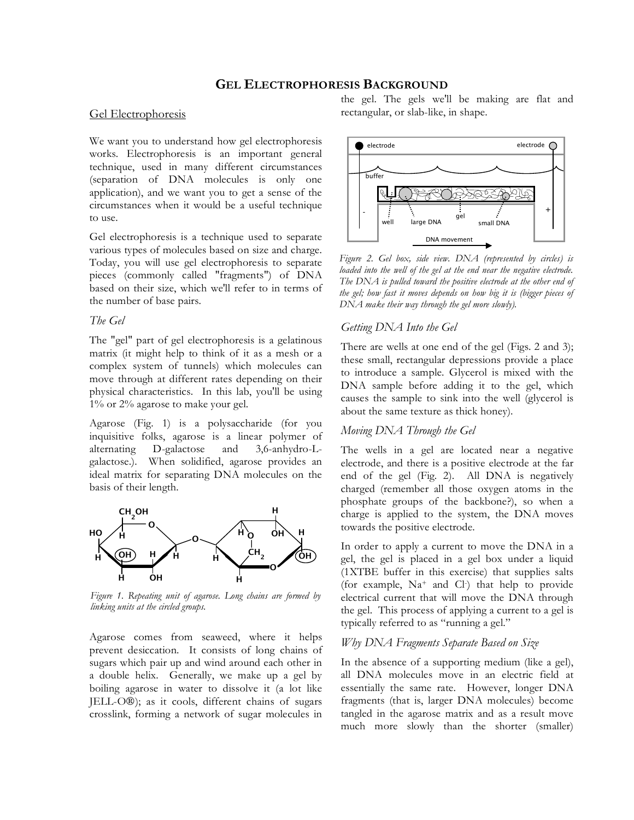# **GEL ELECTROPHORESIS BACKGROUND**

## Gel Electrophoresis

We want you to understand how gel electrophoresis works. Electrophoresis is an important general technique, used in many different circumstances (separation of DNA molecules is only one application), and we want you to get a sense of the circumstances when it would be a useful technique to use.

Gel electrophoresis is a technique used to separate various types of molecules based on size and charge. Today, you will use gel electrophoresis to separate pieces (commonly called "fragments") of DNA based on their size, which we'll refer to in terms of the number of base pairs.

### *The Gel*

The "gel" part of gel electrophoresis is a gelatinous matrix (it might help to think of it as a mesh or a complex system of tunnels) which molecules can move through at different rates depending on their physical characteristics. In this lab, you'll be using 1% or 2% agarose to make your gel.

Agarose (Fig. 1) is a polysaccharide (for you inquisitive folks, agarose is a linear polymer of alternating D-galactose and 3,6-anhydro-Lgalactose.). When solidified, agarose provides an ideal matrix for separating DNA molecules on the basis of their length.



*Figure 1. Repeating unit of agarose. Long chains are formed by linking units at the circled groups.* 

Agarose comes from seaweed, where it helps prevent desiccation. It consists of long chains of sugars which pair up and wind around each other in a double helix. Generally, we make up a gel by boiling agarose in water to dissolve it (a lot like JELL-O®); as it cools, different chains of sugars crosslink, forming a network of sugar molecules in the gel. The gels we'll be making are flat and rectangular, or slab-like, in shape.



*Figure 2. Gel box, side view. DNA (represented by circles) is loaded into the well of the gel at the end near the negative electrode. The DNA is pulled toward the positive electrode at the other end of the gel; how fast it moves depends on how big it is (bigger pieces of DNA make their way through the gel more slowly).* 

### *Getting DNA Into the Gel*

There are wells at one end of the gel (Figs. 2 and 3); these small, rectangular depressions provide a place to introduce a sample. Glycerol is mixed with the DNA sample before adding it to the gel, which causes the sample to sink into the well (glycerol is about the same texture as thick honey).

#### *Moving DNA Through the Gel*

The wells in a gel are located near a negative electrode, and there is a positive electrode at the far end of the gel (Fig. 2). All DNA is negatively charged (remember all those oxygen atoms in the phosphate groups of the backbone?), so when a charge is applied to the system, the DNA moves towards the positive electrode.

In order to apply a current to move the DNA in a gel, the gel is placed in a gel box under a liquid (1XTBE buffer in this exercise) that supplies salts (for example, Na+ and Cl- ) that help to provide electrical current that will move the DNA through the gel. This process of applying a current to a gel is typically referred to as "running a gel."

### *Why DNA Fragments Separate Based on Size*

In the absence of a supporting medium (like a gel), all DNA molecules move in an electric field at essentially the same rate. However, longer DNA fragments (that is, larger DNA molecules) become tangled in the agarose matrix and as a result move much more slowly than the shorter (smaller)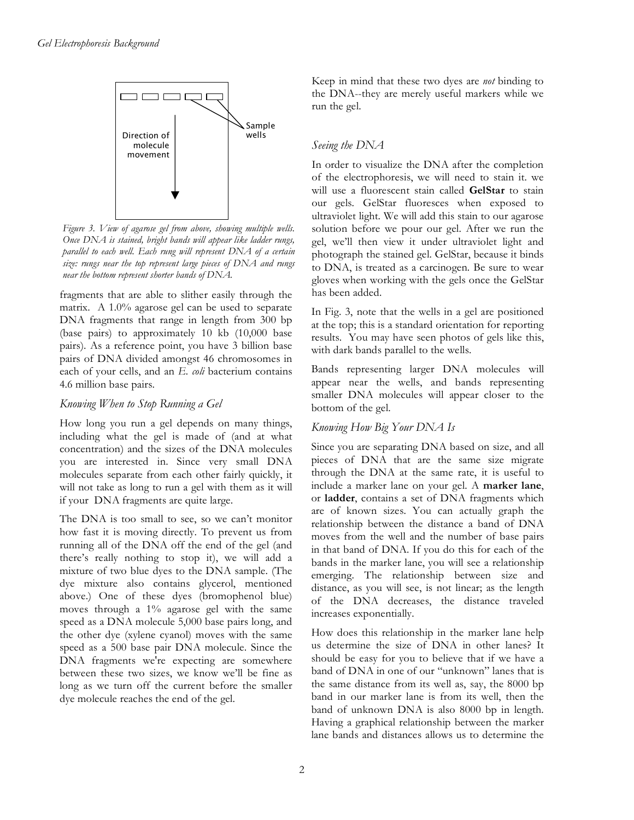

*Figure 3. View of agarose gel from above, showing multiple wells. Once DNA is stained, bright bands will appear like ladder rungs, parallel to each well. Each rung will represent DNA of a certain size: rungs near the top represent large pieces of DNA and rungs near the bottom represent shorter bands of DNA.* 

fragments that are able to slither easily through the matrix. A 1.0% agarose gel can be used to separate DNA fragments that range in length from 300 bp (base pairs) to approximately 10 kb (10,000 base pairs). As a reference point, you have 3 billion base pairs of DNA divided amongst 46 chromosomes in each of your cells, and an *E. coli* bacterium contains 4.6 million base pairs.

## *Knowing When to Stop Running a Gel*

How long you run a gel depends on many things, including what the gel is made of (and at what concentration) and the sizes of the DNA molecules you are interested in. Since very small DNA molecules separate from each other fairly quickly, it will not take as long to run a gel with them as it will if your DNA fragments are quite large.

The DNA is too small to see, so we can't monitor how fast it is moving directly. To prevent us from running all of the DNA off the end of the gel (and there's really nothing to stop it), we will add a mixture of two blue dyes to the DNA sample. (The dye mixture also contains glycerol, mentioned above.) One of these dyes (bromophenol blue) moves through a 1% agarose gel with the same speed as a DNA molecule 5,000 base pairs long, and the other dye (xylene cyanol) moves with the same speed as a 500 base pair DNA molecule. Since the DNA fragments we're expecting are somewhere between these two sizes, we know we'll be fine as long as we turn off the current before the smaller dye molecule reaches the end of the gel.

Keep in mind that these two dyes are *not* binding to the DNA--they are merely useful markers while we run the gel.

# *Seeing the DNA*

In order to visualize the DNA after the completion of the electrophoresis, we will need to stain it. we will use a fluorescent stain called **GelStar** to stain our gels. GelStar fluoresces when exposed to ultraviolet light. We will add this stain to our agarose solution before we pour our gel. After we run the gel, we'll then view it under ultraviolet light and photograph the stained gel. GelStar, because it binds to DNA, is treated as a carcinogen. Be sure to wear gloves when working with the gels once the GelStar has been added.

In Fig. 3, note that the wells in a gel are positioned at the top; this is a standard orientation for reporting results. You may have seen photos of gels like this, with dark bands parallel to the wells.

Bands representing larger DNA molecules will appear near the wells, and bands representing smaller DNA molecules will appear closer to the bottom of the gel.

# *Knowing How Big Your DNA Is*

Since you are separating DNA based on size, and all pieces of DNA that are the same size migrate through the DNA at the same rate, it is useful to include a marker lane on your gel. A **marker lane**, or **ladder**, contains a set of DNA fragments which are of known sizes. You can actually graph the relationship between the distance a band of DNA moves from the well and the number of base pairs in that band of DNA. If you do this for each of the bands in the marker lane, you will see a relationship emerging. The relationship between size and distance, as you will see, is not linear; as the length of the DNA decreases, the distance traveled increases exponentially.

How does this relationship in the marker lane help us determine the size of DNA in other lanes? It should be easy for you to believe that if we have a band of DNA in one of our "unknown" lanes that is the same distance from its well as, say, the 8000 bp band in our marker lane is from its well, then the band of unknown DNA is also 8000 bp in length. Having a graphical relationship between the marker lane bands and distances allows us to determine the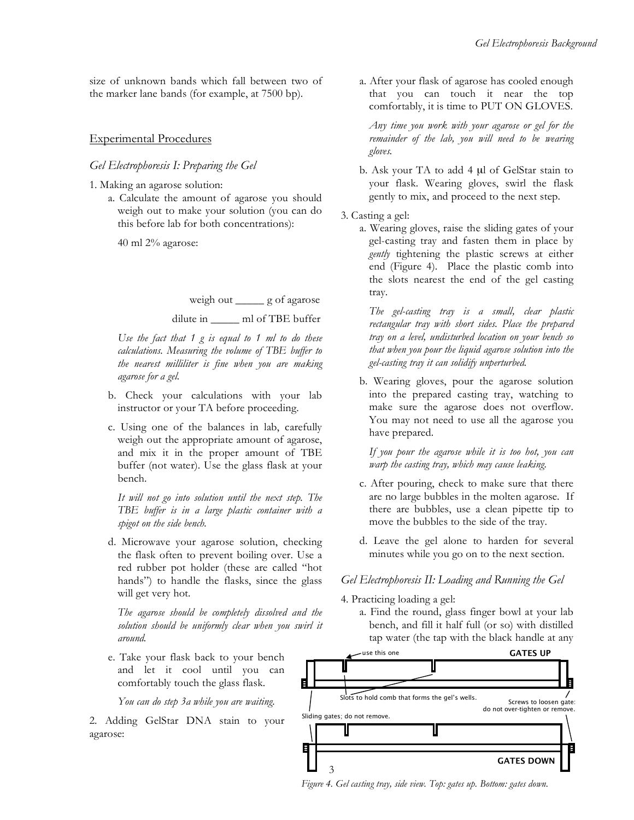size of unknown bands which fall between two of the marker lane bands (for example, at 7500 bp).

## Experimental Procedures

### *Gel Electrophoresis I: Preparing the Gel*

1. Making an agarose solution:

a. Calculate the amount of agarose you should weigh out to make your solution (you can do this before lab for both concentrations):

40 ml 2% agarose:

weigh out \_\_\_\_\_ g of agarose

## dilute in \_\_\_\_\_ ml of TBE buffer

*Use the fact that 1 g is equal to 1 ml to do these calculations. Measuring the volume of TBE buffer to the nearest milliliter is fine when you are making agarose for a gel.* 

- b. Check your calculations with your lab instructor or your TA before proceeding.
- c. Using one of the balances in lab, carefully weigh out the appropriate amount of agarose, and mix it in the proper amount of TBE buffer (not water). Use the glass flask at your bench.

 *It will not go into solution until the next step. The TBE buffer is in a large plastic container with a spigot on the side bench.* 

d. Microwave your agarose solution, checking the flask often to prevent boiling over. Use a red rubber pot holder (these are called "hot hands") to handle the flasks, since the glass will get very hot.

 *The agarose should be completely dissolved and the solution should be uniformly clear when you swirl it around.* 

e. Take your flask back to your bench and let it cool until you can comfortably touch the glass flask.

*You can do step 3a while you are waiting.* 

2. Adding GelStar DNA stain to your agarose:

a. After your flask of agarose has cooled enough that you can touch it near the top comfortably, it is time to PUT ON GLOVES.

*Any time you work with your agarose or gel for the remainder of the lab, you will need to be wearing gloves.* 

- b. Ask your TA to add 4 μl of GelStar stain to your flask. Wearing gloves, swirl the flask gently to mix, and proceed to the next step.
- 3. Casting a gel:
	- a. Wearing gloves, raise the sliding gates of your gel-casting tray and fasten them in place by *gently* tightening the plastic screws at either end (Figure 4). Place the plastic comb into the slots nearest the end of the gel casting tray.

*The gel-casting tray is a small, clear plastic rectangular tray with short sides. Place the prepared tray on a level, undisturbed location on your bench so that when you pour the liquid agarose solution into the gel-casting tray it can solidify unperturbed.* 

b. Wearing gloves, pour the agarose solution into the prepared casting tray, watching to make sure the agarose does not overflow. You may not need to use all the agarose you have prepared.

 *If you pour the agarose while it is too hot, you can warp the casting tray, which may cause leaking.* 

- c. After pouring, check to make sure that there are no large bubbles in the molten agarose. If there are bubbles, use a clean pipette tip to move the bubbles to the side of the tray.
- d. Leave the gel alone to harden for several minutes while you go on to the next section.

## *Gel Electrophoresis II: Loading and Running the Gel*

4. Practicing loading a gel:

a. Find the round, glass finger bowl at your lab bench, and fill it half full (or so) with distilled tap water (the tap with the black handle at any



*Figure 4. Gel casting tray, side view. Top: gates up. Bottom: gates down.*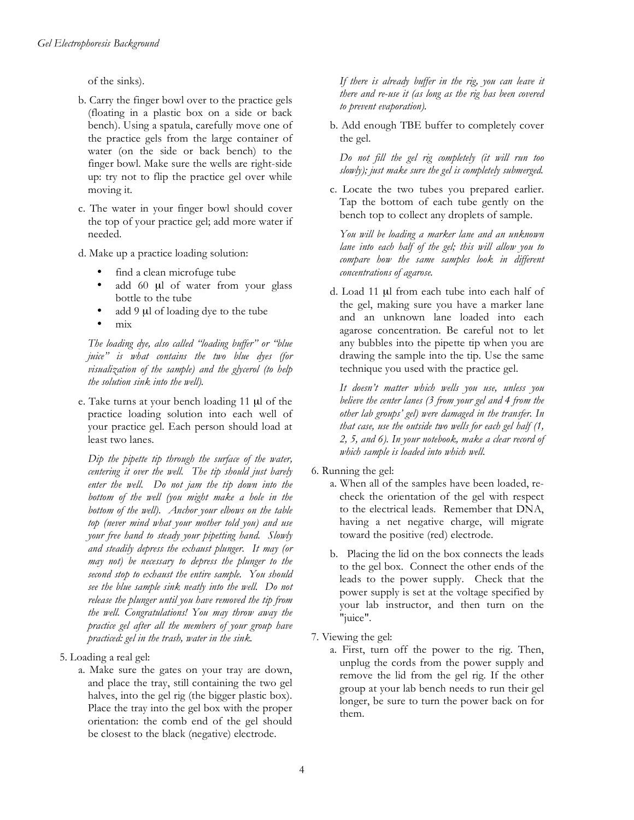of the sinks).

- b. Carry the finger bowl over to the practice gels (floating in a plastic box on a side or back bench). Using a spatula, carefully move one of the practice gels from the large container of water (on the side or back bench) to the finger bowl. Make sure the wells are right-side up: try not to flip the practice gel over while moving it.
- c. The water in your finger bowl should cover the top of your practice gel; add more water if needed.
- d. Make up a practice loading solution:
	- find a clean microfuge tube
	- add 60 μl of water from your glass bottle to the tube
	- add 9 μl of loading dye to the tube • mix

 *The loading dye, also called "loading buffer" or "blue juice" is what contains the two blue dyes (for visualization of the sample) and the glycerol (to help the solution sink into the well).* 

e. Take turns at your bench loading 11 μl of the practice loading solution into each well of your practice gel. Each person should load at least two lanes.

 *Dip the pipette tip through the surface of the water, centering it over the well. The tip should just barely enter the well. Do not jam the tip down into the bottom of the well (you might make a hole in the bottom of the well). Anchor your elbows on the table top (never mind what your mother told you) and use your free hand to steady your pipetting hand. Slowly and steadily depress the exhaust plunger. It may (or may not) be necessary to depress the plunger to the second stop to exhaust the entire sample. You should see the blue sample sink neatly into the well. Do not release the plunger until you have removed the tip from the well. Congratulations! You may throw away the practice gel after all the members of your group have practiced: gel in the trash, water in the sink.* 

- 5. Loading a real gel:
	- a. Make sure the gates on your tray are down, and place the tray, still containing the two gel halves, into the gel rig (the bigger plastic box). Place the tray into the gel box with the proper orientation: the comb end of the gel should be closest to the black (negative) electrode.

 *If there is already buffer in the rig, you can leave it there and re-use it (as long as the rig has been covered to prevent evaporation).* 

b. Add enough TBE buffer to completely cover the gel.

*Do not fill the gel rig completely (it will run too slowly); just make sure the gel is completely submerged.* 

c. Locate the two tubes you prepared earlier. Tap the bottom of each tube gently on the bench top to collect any droplets of sample.

*You will be loading a marker lane and an unknown lane into each half of the gel; this will allow you to compare how the same samples look in different concentrations of agarose.* 

d. Load 11 μl from each tube into each half of the gel, making sure you have a marker lane and an unknown lane loaded into each agarose concentration. Be careful not to let any bubbles into the pipette tip when you are drawing the sample into the tip. Use the same technique you used with the practice gel.

*It doesn't matter which wells you use, unless you believe the center lanes (3 from your gel and 4 from the other lab groups' gel) were damaged in the transfer. In that case, use the outside two wells for each gel half (1, 2, 5, and 6). In your notebook, make a clear record of which sample is loaded into which well.* 

- 6. Running the gel:
	- a. When all of the samples have been loaded, recheck the orientation of the gel with respect to the electrical leads. Remember that DNA, having a net negative charge, will migrate toward the positive (red) electrode.
	- b. Placing the lid on the box connects the leads to the gel box. Connect the other ends of the leads to the power supply. Check that the power supply is set at the voltage specified by your lab instructor, and then turn on the "juice".
- 7. Viewing the gel:
	- a. First, turn off the power to the rig. Then, unplug the cords from the power supply and remove the lid from the gel rig. If the other group at your lab bench needs to run their gel longer, be sure to turn the power back on for them.